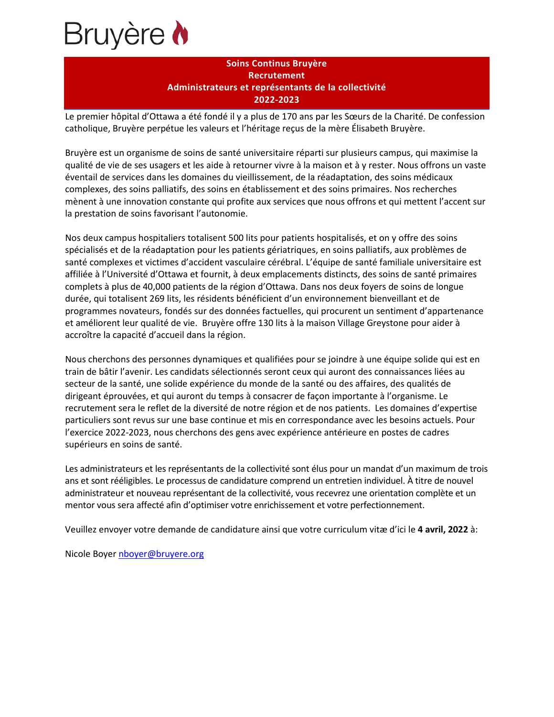

## **Soins Continus Bruyère Recrutement Administrateurs et représentants de la collectivité 2022-2023**

Le premier hôpital d'Ottawa a été fondé il y a plus de 170 ans par les Sœurs de la Charité. De confession catholique, Bruyère perpétue les valeurs et l'héritage reçus de la mère Élisabeth Bruyère.

Bruyère est un organisme de soins de santé universitaire réparti sur plusieurs campus, qui maximise la qualité de vie de ses usagers et les aide à retourner vivre à la maison et à y rester. Nous offrons un vaste éventail de services dans les domaines du vieillissement, de la réadaptation, des soins médicaux complexes, des soins palliatifs, des soins en établissement et des soins primaires. Nos recherches mènent à une innovation constante qui profite aux services que nous offrons et qui mettent l'accent sur la prestation de soins favorisant l'autonomie.

Nos deux campus hospitaliers totalisent 500 lits pour patients hospitalisés, et on y offre des soins spécialisés et de la réadaptation pour les patients gériatriques, en soins palliatifs, aux problèmes de santé complexes et victimes d'accident vasculaire cérébral. L'équipe de santé familiale universitaire est affiliée à l'Université d'Ottawa et fournit, à deux emplacements distincts, des soins de santé primaires complets à plus de 40,000 patients de la région d'Ottawa. Dans nos deux foyers de soins de longue durée, qui totalisent 269 lits, les résidents bénéficient d'un environnement bienveillant et de programmes novateurs, fondés sur des données factuelles, qui procurent un sentiment d'appartenance et améliorent leur qualité de vie. Bruyère offre 130 lits à la maison Village Greystone pour aider à accroître la capacité d'accueil dans la région.

Nous cherchons des personnes dynamiques et qualifiées pour se joindre à une équipe solide qui est en train de bâtir l'avenir. Les candidats sélectionnés seront ceux qui auront des connaissances liées au secteur de la santé, une solide expérience du monde de la santé ou des affaires, des qualités de dirigeant éprouvées, et qui auront du temps à consacrer de façon importante à l'organisme. Le recrutement sera le reflet de la diversité de notre région et de nos patients. Les domaines d'expertise particuliers sont revus sur une base continue et mis en correspondance avec les besoins actuels. Pour l'exercice 2022-2023, nous cherchons des gens avec expérience antérieure en postes de cadres supérieurs en soins de santé.

Les administrateurs et les représentants de la collectivité sont élus pour un mandat d'un maximum de trois ans et sont rééligibles. Le processus de candidature comprend un entretien individuel. À titre de nouvel administrateur et nouveau représentant de la collectivité, vous recevrez une orientation complète et un mentor vous sera affecté afin d'optimiser votre enrichissement et votre perfectionnement.

Veuillez envoyer votre demande de candidature ainsi que votre curriculum vitæ d'ici le **4 avril, 2022** à:

Nicole Boyer [nboyer@bruyere.org](mailto:nboyer@bruyere.org)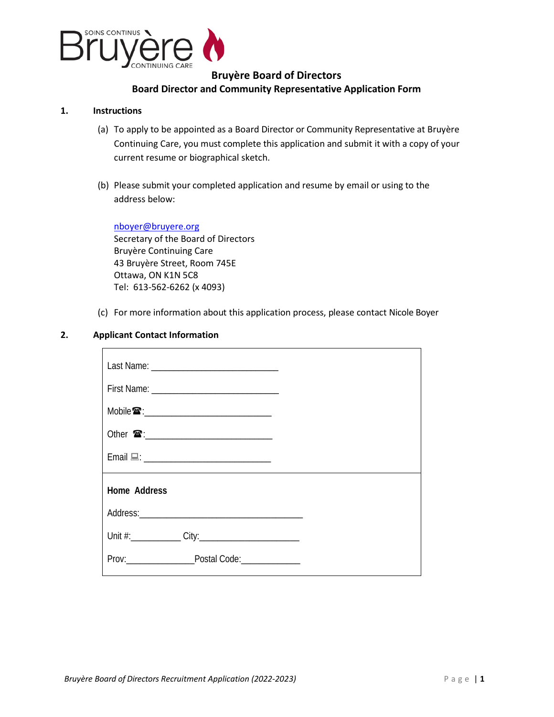

## **Bruyère Board of Directors Board Director and Community Representative Application Form**

### **1. Instructions**

- (a) To apply to be appointed as a Board Director or Community Representative at Bruyère Continuing Care, you must complete this application and submit it with a copy of your current resume or biographical sketch.
- (b) Please submit your completed application and resume by email or using to the address below:

[nboyer@bruyere.org](mailto:esampson@bruyere.org) Secretary of the Board of Directors Bruyère Continuing Care 43 Bruyère Street, Room 745E Ottawa, ON K1N 5C8 Tel: 613-562-6262 (x 4093)

(c) For more information about this application process, please contact Nicole Boyer

### **2. Applicant Contact Information**

| Mobile <b>☎</b> :_________________________________ |  |
|----------------------------------------------------|--|
|                                                    |  |
| Email <u>口: ________________________________</u>   |  |
| Home Address                                       |  |
|                                                    |  |
|                                                    |  |
| Prov: Postal Code:                                 |  |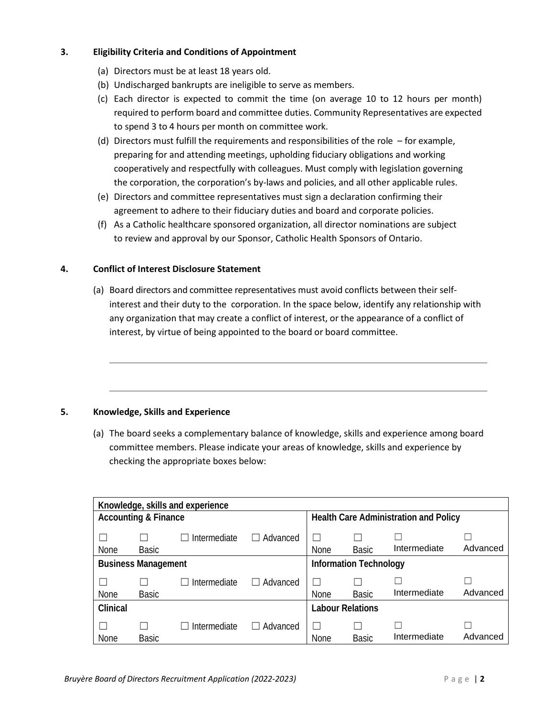## **3. Eligibility Criteria and Conditions of Appointment**

- (a) Directors must be at least 18 years old.
- (b) Undischarged bankrupts are ineligible to serve as members.
- (c) Each director is expected to commit the time (on average 10 to 12 hours per month) required to perform board and committee duties. Community Representatives are expected to spend 3 to 4 hours per month on committee work.
- (d) Directors must fulfill the requirements and responsibilities of the role for example, preparing for and attending meetings, upholding fiduciary obligations and working cooperatively and respectfully with colleagues. Must comply with legislation governing the corporation, the corporation's by-laws and policies, and all other applicable rules.
- (e) Directors and committee representatives must sign a declaration confirming their agreement to adhere to their fiduciary duties and board and corporate policies.
- (f) As a Catholic healthcare sponsored organization, all director nominations are subject to review and approval by our Sponsor, Catholic Health Sponsors of Ontario.

## **4. Conflict of Interest Disclosure Statement**

(a) Board directors and committee representatives must avoid conflicts between their selfinterest and their duty to the corporation. In the space below, identify any relationship with any organization that may create a conflict of interest, or the appearance of a conflict of interest, by virtue of being appointed to the board or board committee.

### **5. Knowledge, Skills and Experience**

(a) The board seeks a complementary balance of knowledge, skills and experience among board committee members. Please indicate your areas of knowledge, skills and experience by checking the appropriate boxes below:

| Knowledge, skills and experience |              |              |                                       |             |                         |              |          |
|----------------------------------|--------------|--------------|---------------------------------------|-------------|-------------------------|--------------|----------|
| <b>Accounting &amp; Finance</b>  |              |              | Health Care Administration and Policy |             |                         |              |          |
| None                             | <b>Basic</b> | Intermediate | Advanced<br>$\Box$                    | None        | <b>Basic</b>            | Intermediate | Advanced |
| <b>Business Management</b>       |              |              | <b>Information Technology</b>         |             |                         |              |          |
| None                             | Basic        | Intermediate | Advanced                              | <b>None</b> | <b>Basic</b>            | Intermediate | Advanced |
| Clinical                         |              |              |                                       |             | <b>Labour Relations</b> |              |          |
| None                             | <b>Basic</b> | Intermediate | Advanced                              | None        | <b>Basic</b>            | Intermediate | Advanced |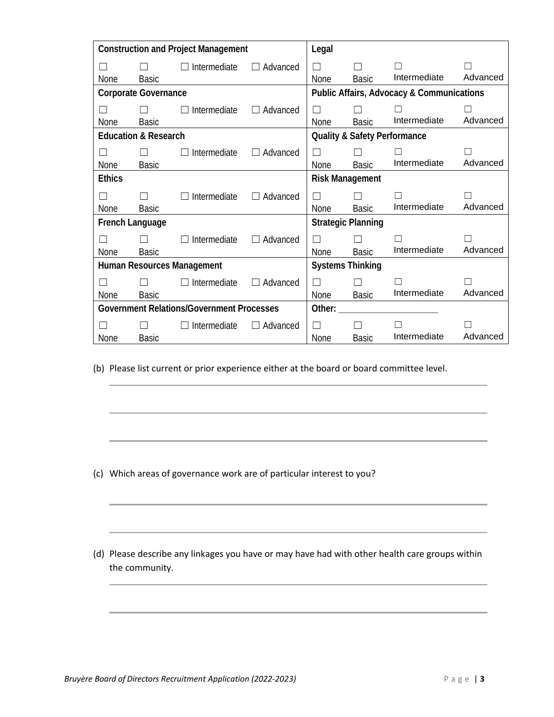| <b>Construction and Project Management</b>       |              | Legal               |                                                      |                                         |              |              |          |
|--------------------------------------------------|--------------|---------------------|------------------------------------------------------|-----------------------------------------|--------------|--------------|----------|
| None                                             | Basic        | Intermediate        | Advanced<br>$\perp$                                  | П<br>None                               | <b>Basic</b> | Intermediate | Advanced |
| <b>Corporate Governance</b>                      |              |                     | <b>Public Affairs, Advocacy &amp; Communications</b> |                                         |              |              |          |
| <b>None</b>                                      | Basic        | Intermediate        | Advanced<br>$\perp$                                  | П<br>None                               | <b>Basic</b> | Intermediate | Advanced |
| <b>Education &amp; Research</b>                  |              |                     |                                                      | <b>Quality &amp; Safety Performance</b> |              |              |          |
| None                                             | <b>Basic</b> | Intermediate        | Advanced<br>$\perp$                                  | <b>None</b>                             | <b>Basic</b> | Intermediate | Advanced |
| <b>Ethics</b>                                    |              |                     |                                                      | <b>Risk Management</b>                  |              |              |          |
| <b>None</b>                                      | <b>Basic</b> | Intermediate        | Advanced<br>П                                        | П<br><b>None</b>                        | <b>Basic</b> | Intermediate | Advanced |
| French Language                                  |              |                     |                                                      | <b>Strategic Planning</b>               |              |              |          |
| None                                             | <b>Basic</b> | Intermediate        | Advanced<br>$\Box$                                   | П<br><b>None</b>                        | <b>Basic</b> | Intermediate | Advanced |
| Human Resources Management                       |              |                     | <b>Systems Thinking</b>                              |                                         |              |              |          |
| <b>None</b>                                      | <b>Basic</b> | $\Box$ Intermediate | $\Box$ Advanced                                      | П<br>None                               | <b>Basic</b> | Intermediate | Advanced |
| <b>Government Relations/Government Processes</b> |              |                     | Other:                                               |                                         |              |              |          |
| <b>None</b>                                      | Basic        | Intermediate        | Advanced<br>$\Box$                                   | П<br>None                               | <b>Basic</b> | Intermediate | Advanced |

(b) Please list current or prior experience either at the board or board committee level.

- (c) Which areas of governance work are of particular interest to you?
- (d) Please describe any linkages you have or may have had with other health care groups within the community.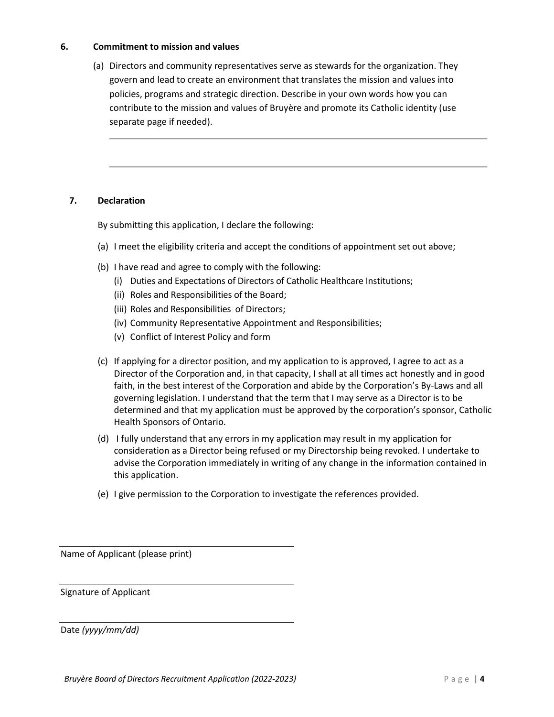### **6. Commitment to mission and values**

(a) Directors and community representatives serve as stewards for the organization. They govern and lead to create an environment that translates the mission and values into policies, programs and strategic direction. Describe in your own words how you can contribute to the mission and values of Bruyère and promote its Catholic identity (use separate page if needed).

### **7. Declaration**

By submitting this application, I declare the following:

- (a) I meet the eligibility criteria and accept the conditions of appointment set out above;
- (b) I have read and agree to comply with the following:
	- (i) Duties and Expectations of Directors of Catholic Healthcare Institutions;
	- (ii) Roles and Responsibilities of the Board;
	- (iii) Roles and Responsibilities of Directors;
	- (iv) Community Representative Appointment and Responsibilities;
	- (v) Conflict of Interest Policy and form
- (c) If applying for a director position, and my application to is approved, I agree to act as a Director of the Corporation and, in that capacity, I shall at all times act honestly and in good faith, in the best interest of the Corporation and abide by the Corporation's By-Laws and all governing legislation. I understand that the term that I may serve as a Director is to be determined and that my application must be approved by the corporation's sponsor, Catholic Health Sponsors of Ontario.
- (d) I fully understand that any errors in my application may result in my application for consideration as a Director being refused or my Directorship being revoked. I undertake to advise the Corporation immediately in writing of any change in the information contained in this application.
- (e) I give permission to the Corporation to investigate the references provided.

Name of Applicant (please print)

Signature of Applicant

Date *(yyyy/mm/dd)*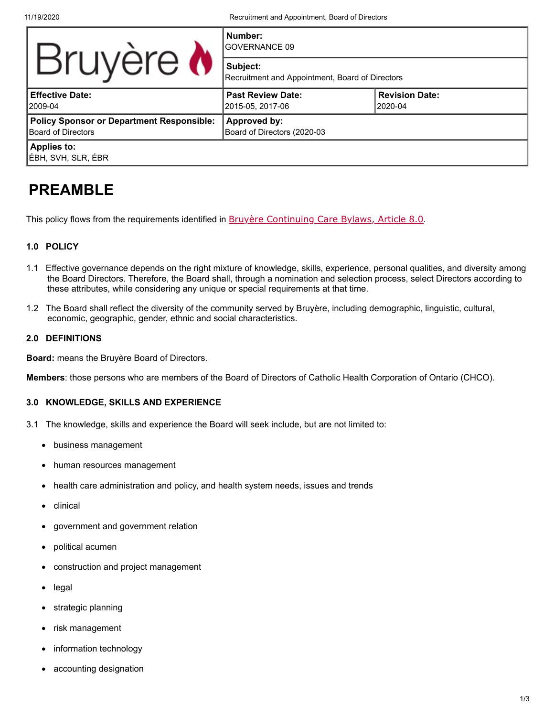11/19/2020 Recruitment and Appointment, Board of Directors

|                                                                               | Number:<br><b>GOVERNANCE 09</b>                             |                                  |  |  |
|-------------------------------------------------------------------------------|-------------------------------------------------------------|----------------------------------|--|--|
| Bruyère <b>N</b>                                                              | Subject:<br>Recruitment and Appointment, Board of Directors |                                  |  |  |
| <b>Effective Date:</b><br>2009-04                                             | <b>Past Review Date:</b><br>2015-05. 2017-06                | <b>Revision Date:</b><br>2020-04 |  |  |
| <b>Policy Sponsor or Department Responsible:</b><br><b>Board of Directors</b> | Approved by:<br>Board of Directors (2020-03                 |                                  |  |  |
| <b>Applies to:</b><br>ÉBH, SVH, SLR, ÉBR                                      |                                                             |                                  |  |  |

# **PREAMBLE**

This policy flows from the requirements identified in **[Bruyère Continuing Care Bylaws, Article 8.0](https://www.bruyere.org/en/bylawspolicies)**.

### **1.0 POLICY**

- 1.1 Effective governance depends on the right mixture of knowledge, skills, experience, personal qualities, and diversity among the Board Directors. Therefore, the Board shall, through a nomination and selection process, select Directors according to these attributes, while considering any unique or special requirements at that time.
- 1.2 The Board shall reflect the diversity of the community served by Bruyère, including demographic, linguistic, cultural, economic, geographic, gender, ethnic and social characteristics.

### **2.0 DEFINITIONS**

**Board:** means the Bruyère Board of Directors.

**Members**: those persons who are members of the Board of Directors of Catholic Health Corporation of Ontario (CHCO).

### **3.0 KNOWLEDGE, SKILLS AND EXPERIENCE**

- 3.1 The knowledge, skills and experience the Board will seek include, but are not limited to:
	- · business management
	- human resources management
	- · health care administration and policy, and health system needs, issues and trends
	- · clinical
	- government and government relation
	- political acumen
	- construction and project management
	- · legal
	- · strategic planning
	- risk management
	- information technology
	- accounting designation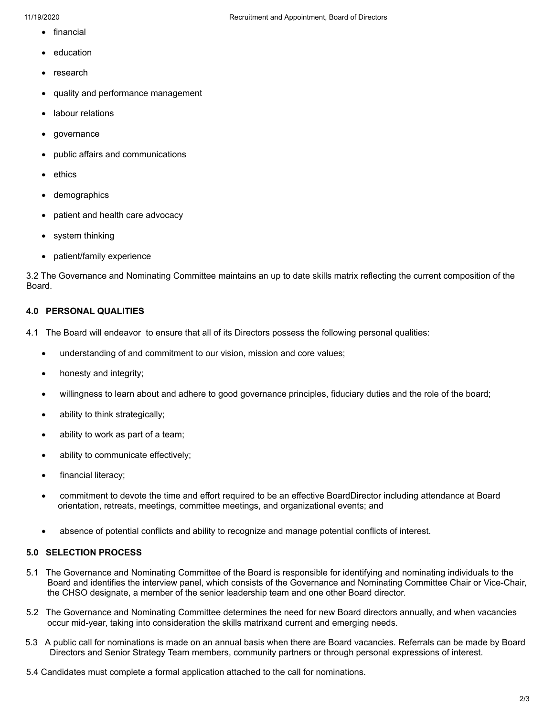- · financial
- **education**
- **research**
- quality and performance management
- labour relations
- · governance
- public affairs and communications
- **ethics**
- demographics
- patient and health care advocacy
- system thinking
- · patient/family experience

3.2 The Governance and Nominating Committee maintains an up to date skills matrix reflecting the current composition of the Board.

#### **4.0 PERSONAL QUALITIES**

- 4.1 The Board will endeavor to ensure that all of its Directors possess the following personal qualities:
	- · understanding of and commitment to our vision, mission and core values;
	- honesty and integrity;
	- · willingness to learn about and adhere to good governance principles, fiduciary duties and the role of the board;
	- ability to think strategically;
	- ability to work as part of a team;
	- ability to communicate effectively;
	- financial literacy;
	- · commitment to devote the time and effort required to be an effective BoardDirector including attendance at Board orientation, retreats, meetings, committee meetings, and organizational events; and
	- absence of potential conflicts and ability to recognize and manage potential conflicts of interest.

### **5.0 SELECTION PROCESS**

- 5.1 The Governance and Nominating Committee of the Board is responsible for identifying and nominating individuals to the Board and identifies the interview panel, which consists of the Governance and Nominating Committee Chair or Vice-Chair, the CHSO designate, a member of the senior leadership team and one other Board director.
- 5.2 The Governance and Nominating Committee determines the need for new Board directors annually, and when vacancies occur mid-year, taking into consideration the skills matrixand current and emerging needs.
- 5.3 A public call for nominations is made on an annual basis when there are Board vacancies. Referrals can be made by Board Directors and Senior Strategy Team members, community partners or through personal expressions of interest.
- 5.4 Candidates must complete a formal application attached to the call for nominations.